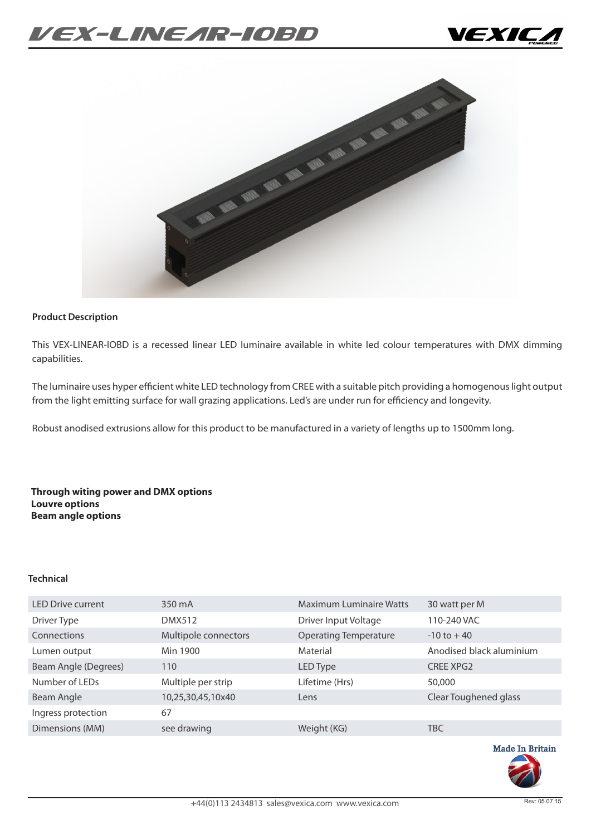# *VEX-Linear-IOBD*





#### **Product Description**

This VEX-LINEAR-IOBD is a recessed linear LED luminaire available in white led colour temperatures with DMX dimming capabilities.

The luminaire uses hyper efficient white LED technology from CREE with a suitable pitch providing a homogenous light output from the light emitting surface for wall grazing applications. Led's are under run for efficiency and longevity.

Robust anodised extrusions allow for this product to be manufactured in a variety of lengths up to 1500mm long.

**Through witing power and DMX options Louvre options Beam angle options**

#### **Technical**

| <b>LED Drive current</b> | 350 mA               | <b>Maximum Luminaire Watts</b> | 30 watt per M            |
|--------------------------|----------------------|--------------------------------|--------------------------|
| Driver Type              | <b>DMX512</b>        | Driver Input Voltage           | 110-240 VAC              |
| Connections              | Multipole connectors | <b>Operating Temperature</b>   | $-10$ to $+40$           |
| Lumen output             | Min 1900             | Material                       | Anodised black aluminium |
| Beam Angle (Degrees)     | 110                  | LED Type                       | <b>CREE XPG2</b>         |
| Number of LEDs           | Multiple per strip   | Lifetime (Hrs)                 | 50,000                   |
| Beam Angle               | 10,25,30,45,10x40    | Lens                           | Clear Toughened glass    |
| Ingress protection       | 67                   |                                |                          |
| Dimensions (MM)          | see drawing          | Weight (KG)                    | <b>TBC</b>               |